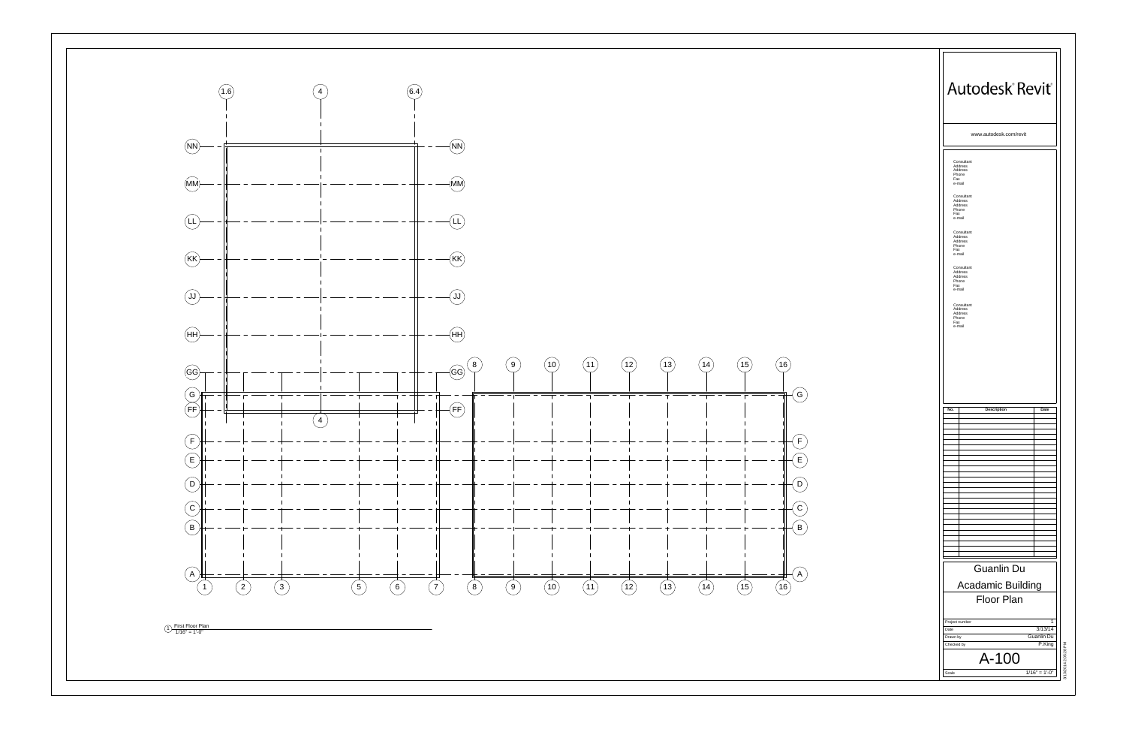

|     |                                                     | www.autodesk.com/revit                        |      |  |
|-----|-----------------------------------------------------|-----------------------------------------------|------|--|
| Fax | Consultant<br>Address<br>Address<br>Phone<br>e-mail |                                               |      |  |
| Fax | Consultant<br>Address<br>Address<br>Phone<br>e-mail |                                               |      |  |
| Fax | Consultant<br>Address<br>Address<br>Phone<br>e-mail |                                               |      |  |
| Fax | Consultant<br>Address<br>Address<br>Phone<br>e-mail |                                               |      |  |
| Fax | Consultant<br>Address<br>Address<br>Phone           |                                               |      |  |
|     |                                                     |                                               |      |  |
| No. |                                                     | Description                                   | Date |  |
|     |                                                     |                                               |      |  |
|     |                                                     |                                               |      |  |
|     |                                                     |                                               |      |  |
|     |                                                     |                                               |      |  |
|     |                                                     |                                               |      |  |
|     |                                                     |                                               |      |  |
|     |                                                     |                                               |      |  |
|     |                                                     |                                               |      |  |
|     |                                                     | <b>Guanlin Du</b><br><b>Acadamic Building</b> |      |  |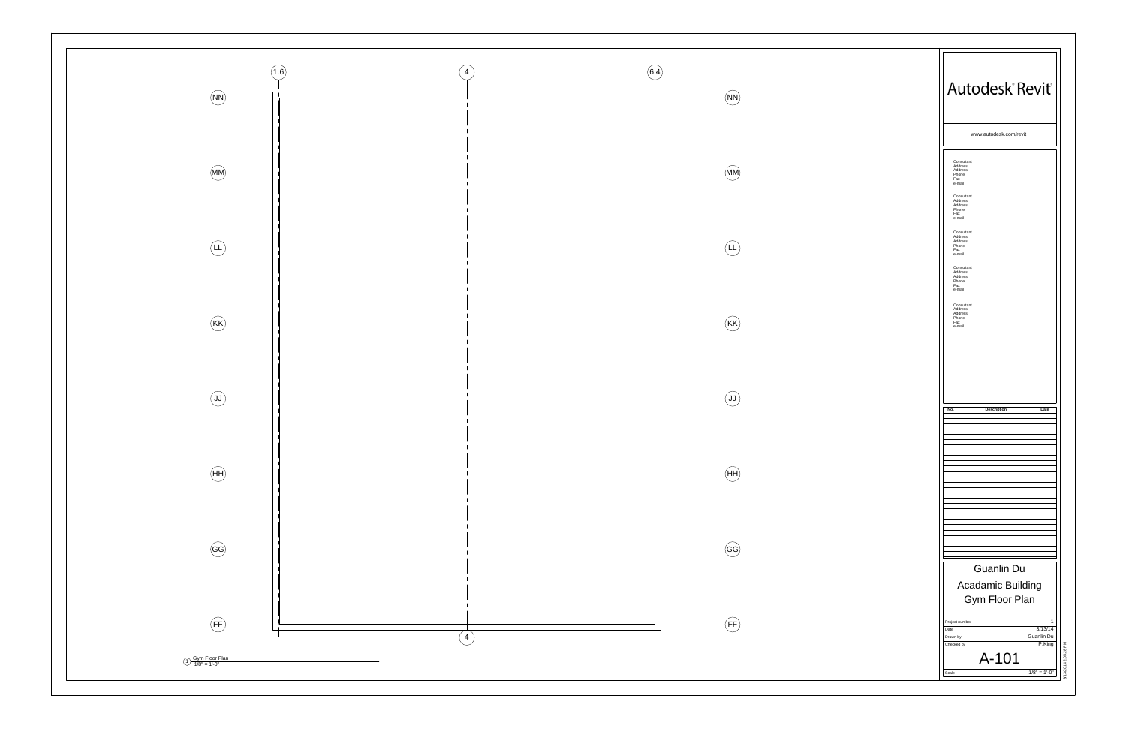

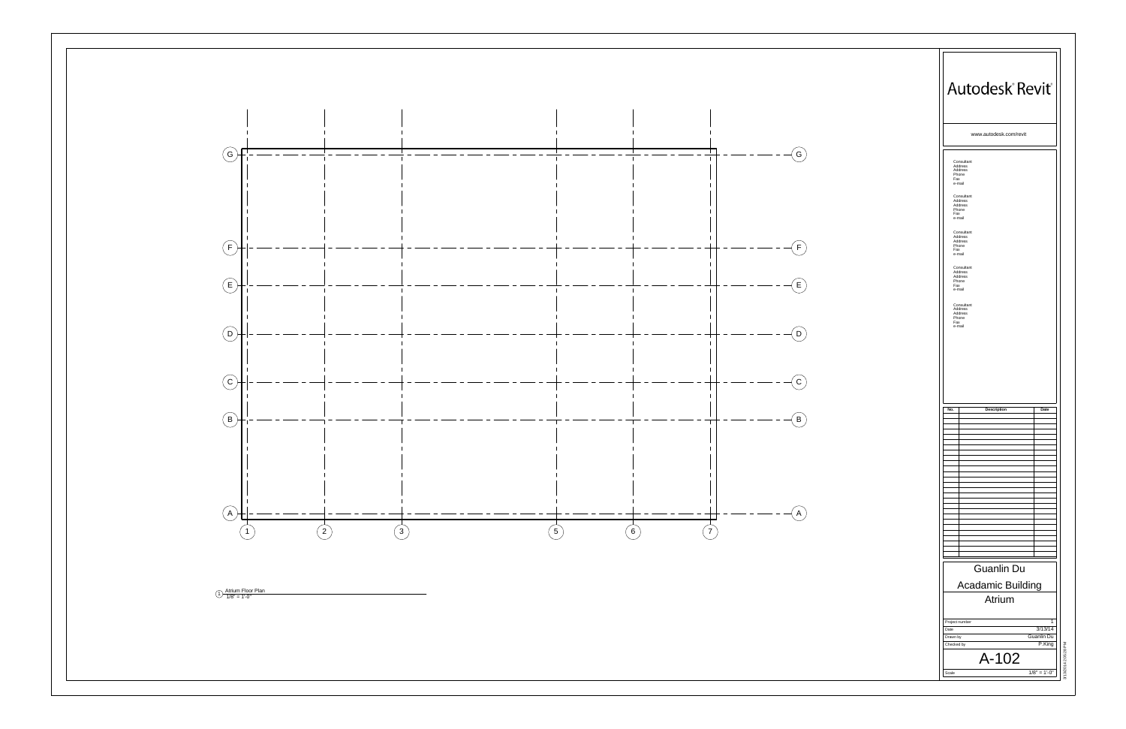

|     |                                                     | www.autodesk.com/revit                        |      |  |
|-----|-----------------------------------------------------|-----------------------------------------------|------|--|
| Fax | Consultant<br>Address<br>Address<br>Phone<br>e-mail |                                               |      |  |
| Fax | Consultant<br>Address<br>Address<br>Phone<br>e-mail |                                               |      |  |
| Fax | Consultant<br>Address<br>Address<br>Phone           |                                               |      |  |
| Fax | e-mail<br>Consultant<br>Address<br>Address<br>Phone |                                               |      |  |
| Fax | e-mail<br>Consultant<br>Address<br>Address<br>Phone |                                               |      |  |
|     |                                                     |                                               |      |  |
| No. |                                                     | Description                                   | Date |  |
|     |                                                     |                                               |      |  |
|     |                                                     |                                               |      |  |
|     |                                                     |                                               |      |  |
|     |                                                     |                                               |      |  |
|     |                                                     |                                               |      |  |
|     |                                                     |                                               |      |  |
|     |                                                     |                                               |      |  |
|     |                                                     |                                               |      |  |
|     |                                                     |                                               |      |  |
|     |                                                     | <b>Guanlin Du</b><br><b>Acadamic Building</b> |      |  |
|     |                                                     |                                               |      |  |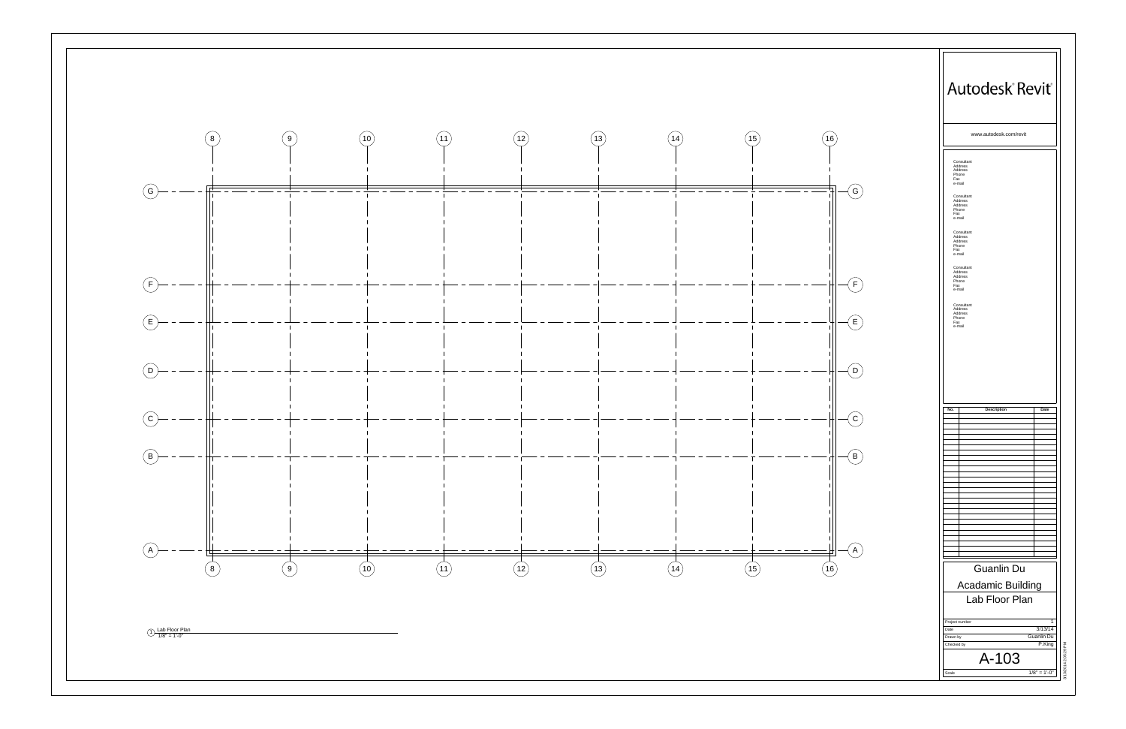8 8 9 9 10 10 11 11 12 12 13 13 14 14 15 15  $\begin{picture}(20,20) \put(0,0){\line(1,0){10}} \put(15,0){\line(1,0){10}} \put(15,0){\line(1,0){10}} \put(15,0){\line(1,0){10}} \put(15,0){\line(1,0){10}} \put(15,0){\line(1,0){10}} \put(15,0){\line(1,0){10}} \put(15,0){\line(1,0){10}} \put(15,0){\line(1,0){10}} \put(15,0){\line(1,0){10}} \put(15,0){\line(1,0){10}} \put(15,0){\line(1$  A  $\begin{picture}(20,5) \put(0,0){\line(0,1){10}} \put(15,0){\line(0,1){10}} \put(15,0){\line(0,1){10}} \put(15,0){\line(0,1){10}} \put(15,0){\line(0,1){10}} \put(15,0){\line(0,1){10}} \put(15,0){\line(0,1){10}} \put(15,0){\line(0,1){10}} \put(15,0){\line(0,1){10}} \put(15,0){\line(0,1){10}} \put(15,0){\line(0,1){10}} \put(15,0){\line(0,$  B  $\odot$  C  $\begin{picture}(20,20) \put(0,0){\line(1,0){10}} \put(15,0){\line(1,0){10}} \put(15,0){\line(1,0){10}} \put(15,0){\line(1,0){10}} \put(15,0){\line(1,0){10}} \put(15,0){\line(1,0){10}} \put(15,0){\line(1,0){10}} \put(15,0){\line(1,0){10}} \put(15,0){\line(1,0){10}} \put(15,0){\line(1,0){10}} \put(15,0){\line(1,0){10}} \put(15,0){\line(1$  D  $\bigoplus$  E  $\bigodot$  F  $\circledg$  G 1) Lab Floor Plan<br>1/8" = 1'-0"

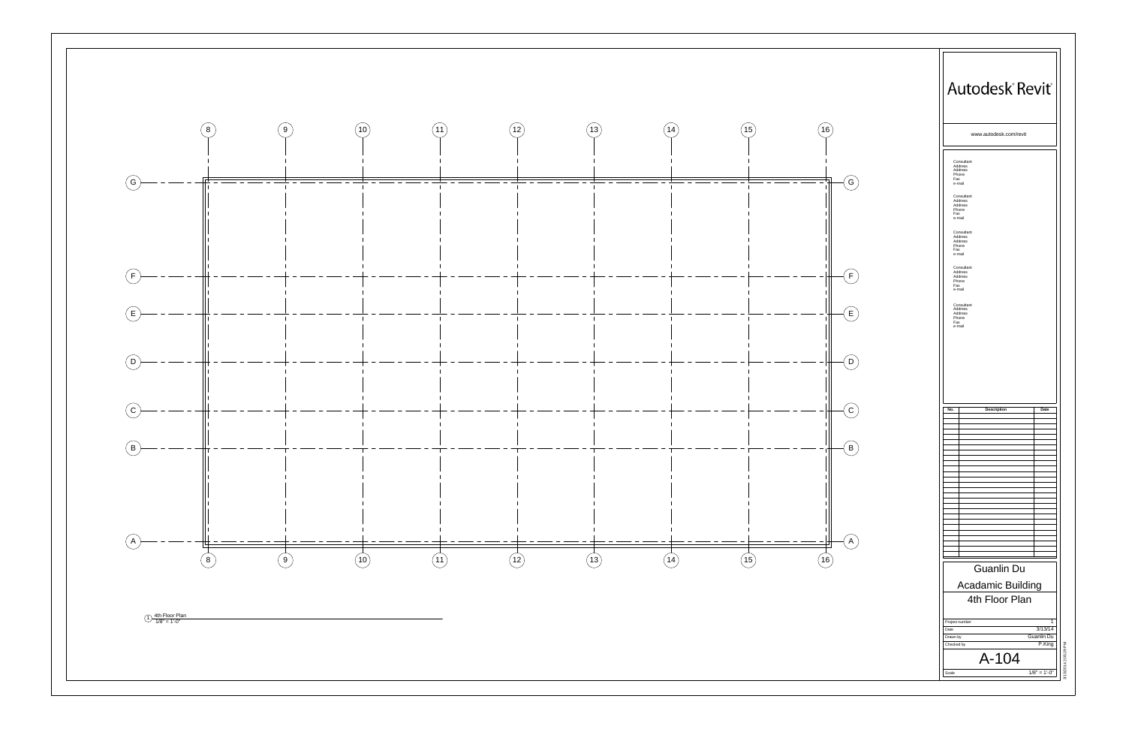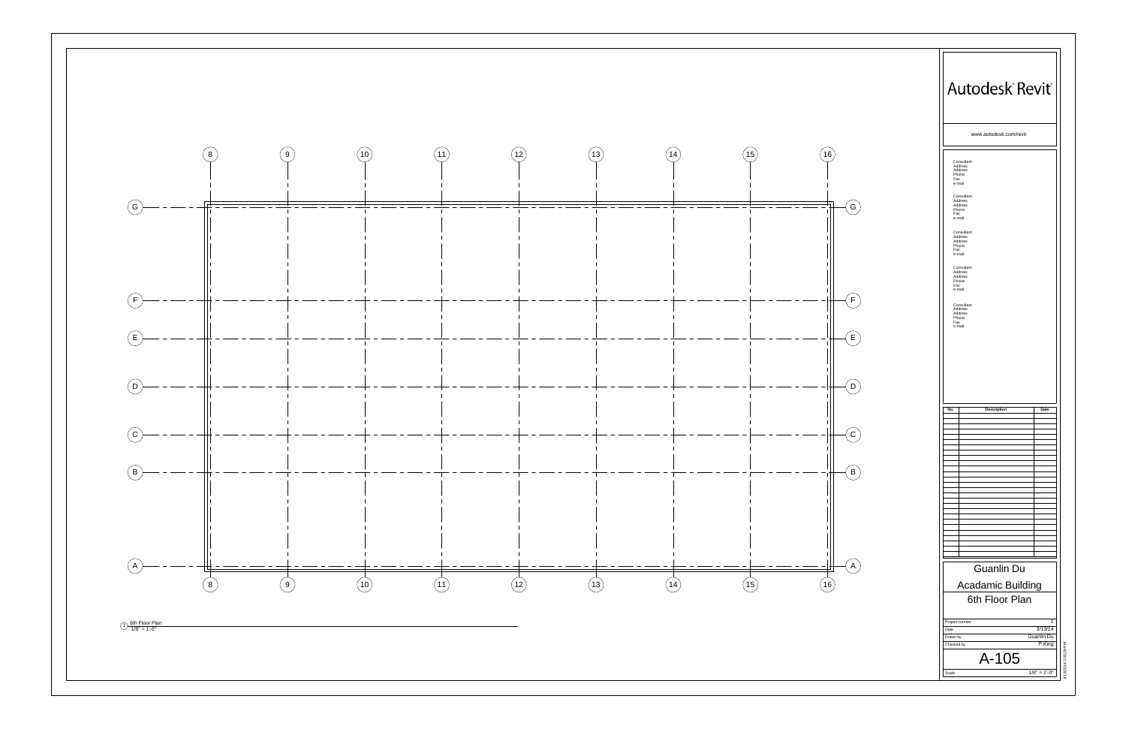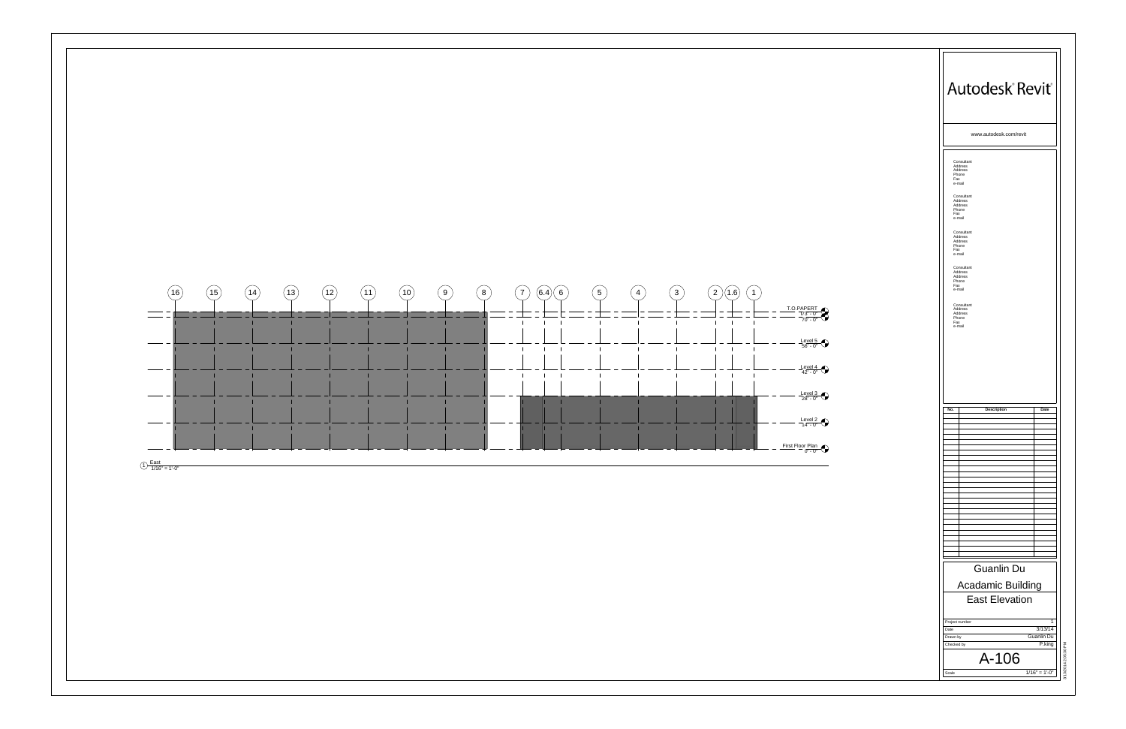

| Autodesk Revit®                                                                                                                                                                                                                                                                                                    |
|--------------------------------------------------------------------------------------------------------------------------------------------------------------------------------------------------------------------------------------------------------------------------------------------------------------------|
| www.autodesk.com/revit                                                                                                                                                                                                                                                                                             |
| Consultant<br>Address<br>Address<br>Phone<br>Fax<br>e-mail<br>Consultant<br>Address<br>Address<br>Phone<br>Fax<br>e-mail<br>Consultant<br>Address<br>Address<br>Phone<br>Fax<br>e-mail<br>Consultant<br>Address<br>Address<br>Phone<br>Fax<br>e-mail<br>Consultant<br>Address<br>Address<br>Phone<br>Fax<br>e-mail |
| No.<br>Description<br>Date<br>Guanlin Du<br>Acadamic Building<br><b>East Elevation</b><br>$\mathbf{1}$<br>Project number                                                                                                                                                                                           |
| 3/13/14<br>Date<br>Guanlin Du<br>Drawn by<br>P.king<br>Checked by<br>3/13/2014 2:05:30 PM<br>A-106                                                                                                                                                                                                                 |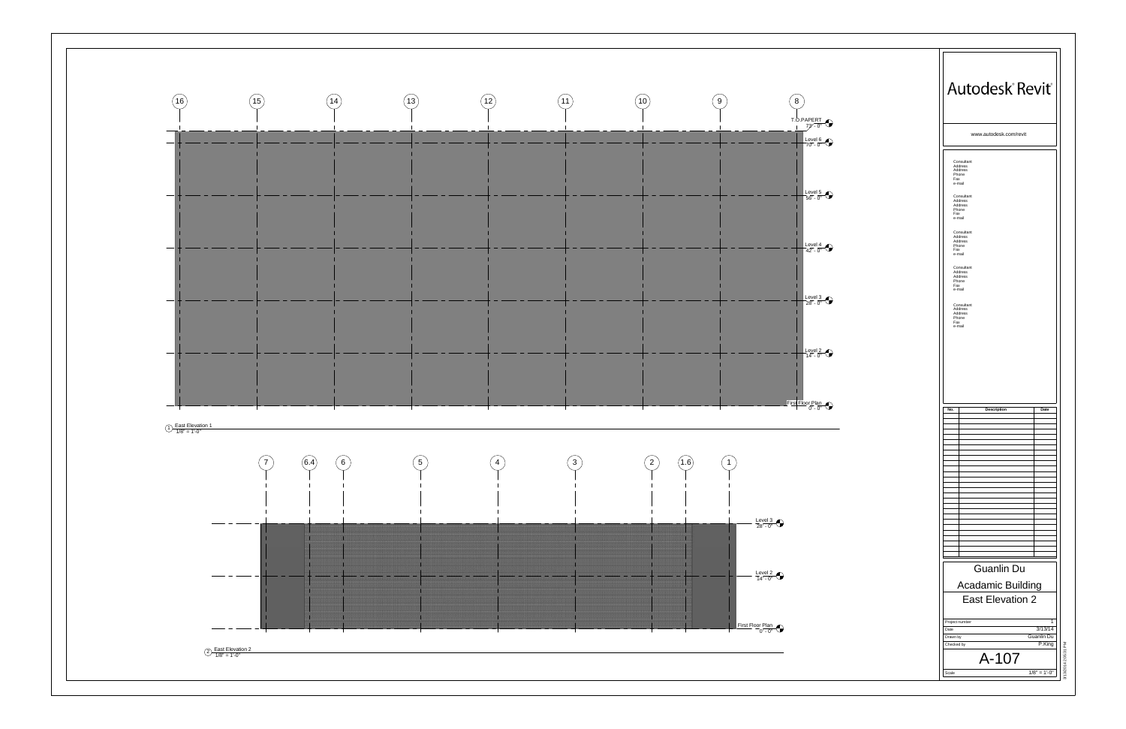

| Autodesk Revit®                                                                                                                                                                                                                                                                                                    |
|--------------------------------------------------------------------------------------------------------------------------------------------------------------------------------------------------------------------------------------------------------------------------------------------------------------------|
| www.autodesk.com/revit                                                                                                                                                                                                                                                                                             |
| Consultant<br>Address<br>Address<br>Phone<br>Fax<br>e-mail<br>Consultant<br>Address<br>Address<br>Phone<br>Fax<br>e-mail<br>Consultant<br>Address<br>Address<br>Phone<br>Fax<br>e-mail<br>Consultant<br>Address<br>Address<br>Phone<br>Fax<br>e-mail<br>Consultant<br>Address<br>Address<br>Phone<br>Fax<br>e-mail |
|                                                                                                                                                                                                                                                                                                                    |
|                                                                                                                                                                                                                                                                                                                    |
| No.<br><b>Description</b><br>Date                                                                                                                                                                                                                                                                                  |
|                                                                                                                                                                                                                                                                                                                    |
|                                                                                                                                                                                                                                                                                                                    |
|                                                                                                                                                                                                                                                                                                                    |
|                                                                                                                                                                                                                                                                                                                    |
|                                                                                                                                                                                                                                                                                                                    |
|                                                                                                                                                                                                                                                                                                                    |
|                                                                                                                                                                                                                                                                                                                    |
|                                                                                                                                                                                                                                                                                                                    |
| <b>Guanlin Du</b>                                                                                                                                                                                                                                                                                                  |
| Acadamic Building                                                                                                                                                                                                                                                                                                  |
| East Elevation 2                                                                                                                                                                                                                                                                                                   |
| 1<br>Project number                                                                                                                                                                                                                                                                                                |
| 3/13/14<br>Date<br>Drawn by<br>Guanlin Du                                                                                                                                                                                                                                                                          |
| P.King<br>Checked by<br>A-107                                                                                                                                                                                                                                                                                      |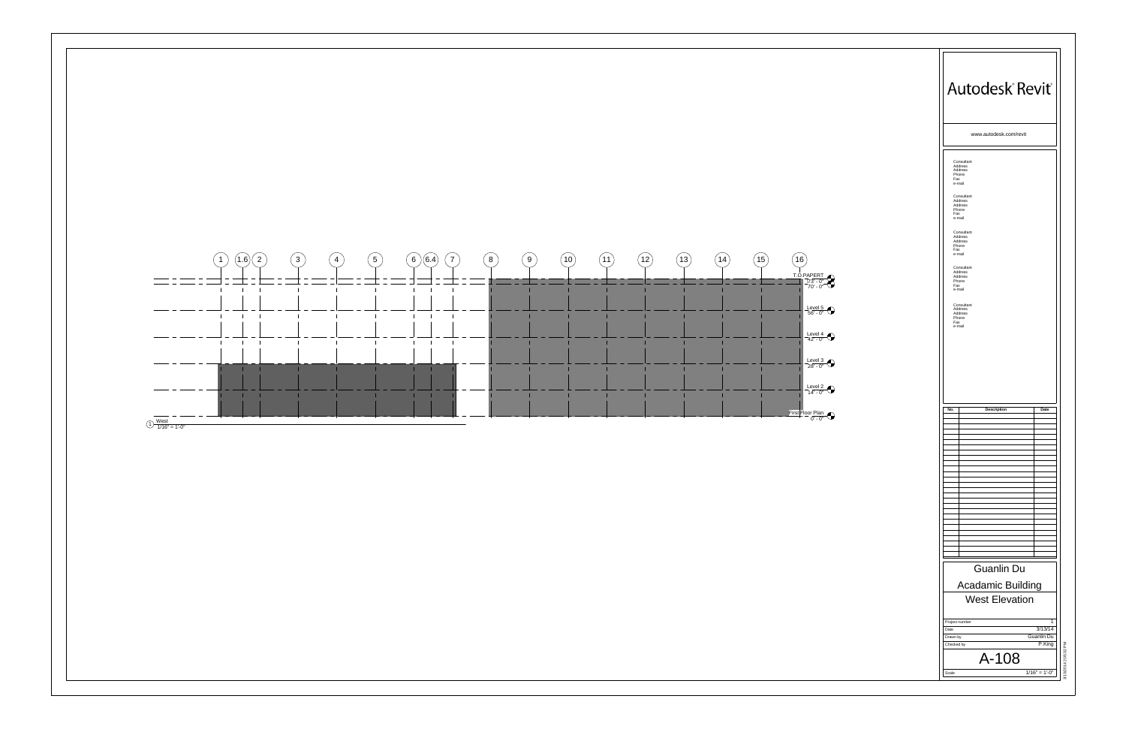

| Autodesk Revit®                                                                                                                                                                                                                                                                                                    |
|--------------------------------------------------------------------------------------------------------------------------------------------------------------------------------------------------------------------------------------------------------------------------------------------------------------------|
| www.autodesk.com/revit                                                                                                                                                                                                                                                                                             |
| Consultant<br>Address<br>Address<br>Phone<br>Fax<br>e-mail<br>Consultant<br>Address<br>Address<br>Phone<br>Fax<br>e-mail<br>Consultant<br>Address<br>Address<br>Phone<br>Fax<br>e-mail<br>Consultant<br>Address<br>Address<br>Phone<br>Fax<br>e-mail<br>Consultant<br>Address<br>Address<br>Phone<br>Fax<br>e-mail |
|                                                                                                                                                                                                                                                                                                                    |
|                                                                                                                                                                                                                                                                                                                    |
|                                                                                                                                                                                                                                                                                                                    |
| No.<br>Date<br><b>Description</b><br>Guanlin Du                                                                                                                                                                                                                                                                    |
| Acadamic Building                                                                                                                                                                                                                                                                                                  |
| <b>West Elevation</b><br>$\mathbf{1}$<br>Project number<br>3/13/14<br>Date<br>Drawn by<br>Guanlin Du<br>P.King<br>Checked by                                                                                                                                                                                       |
|                                                                                                                                                                                                                                                                                                                    |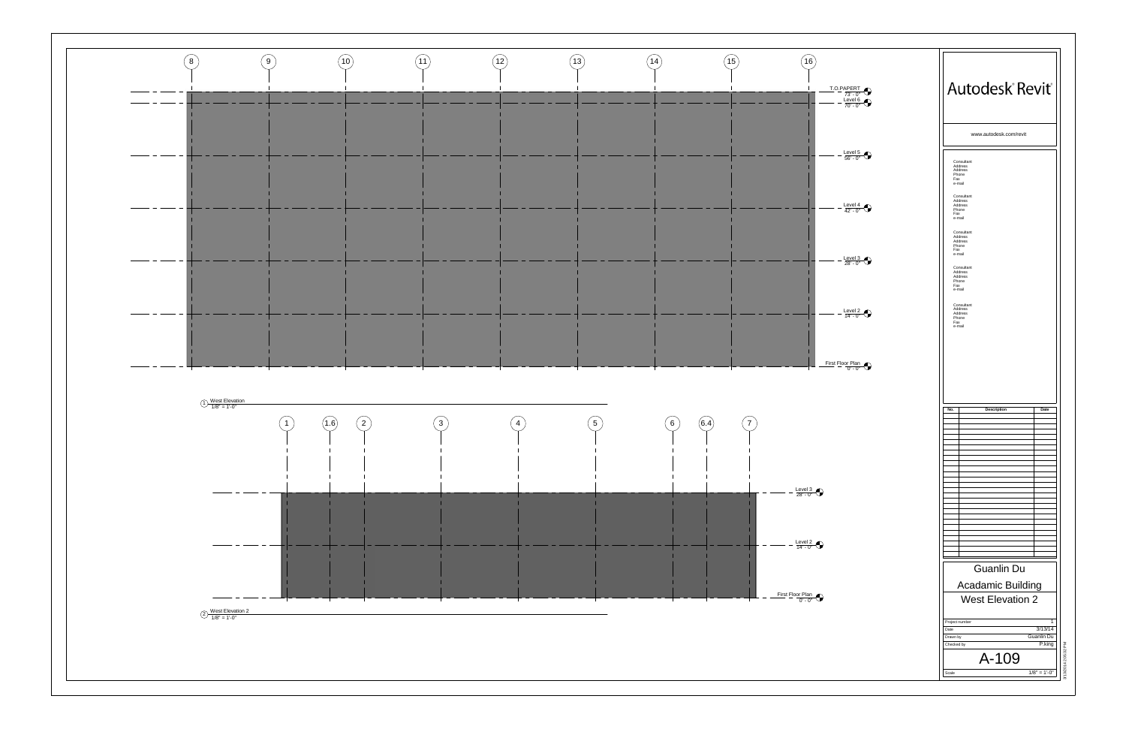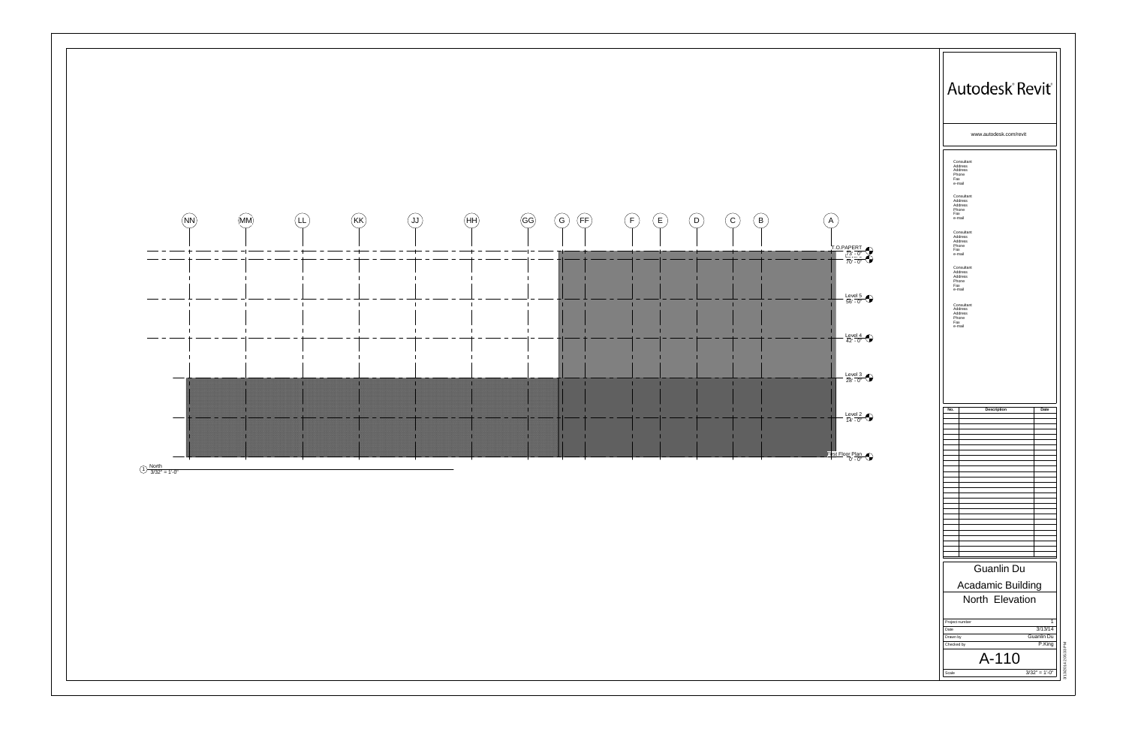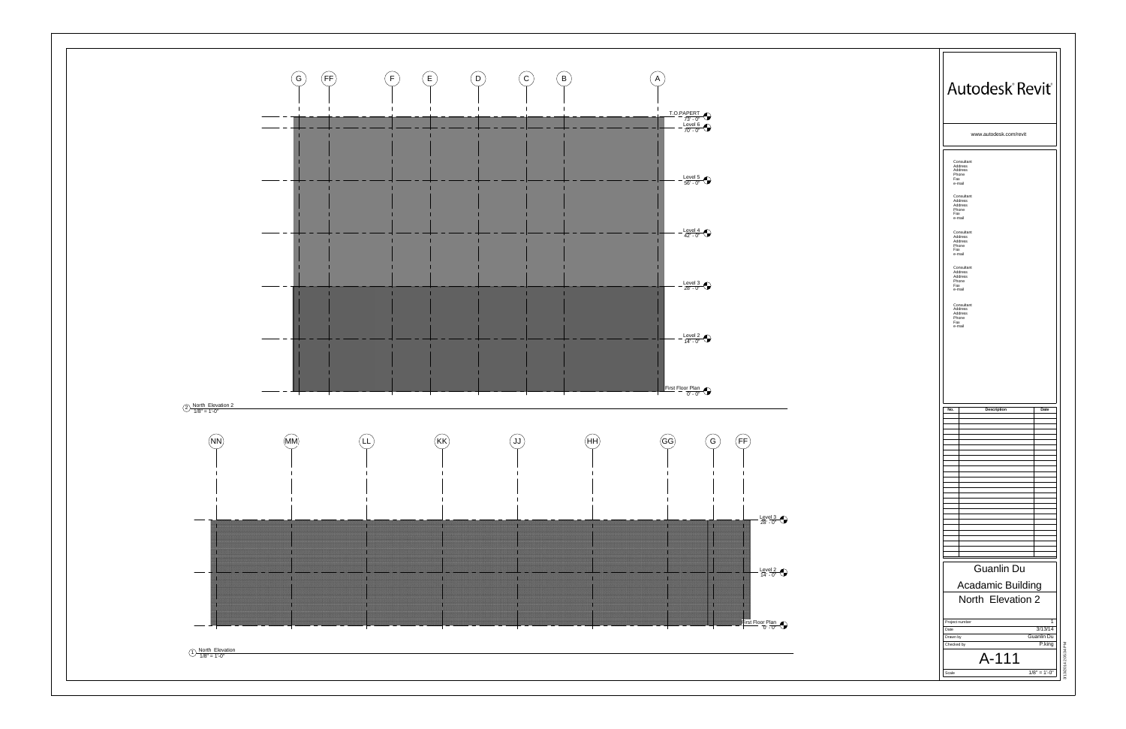

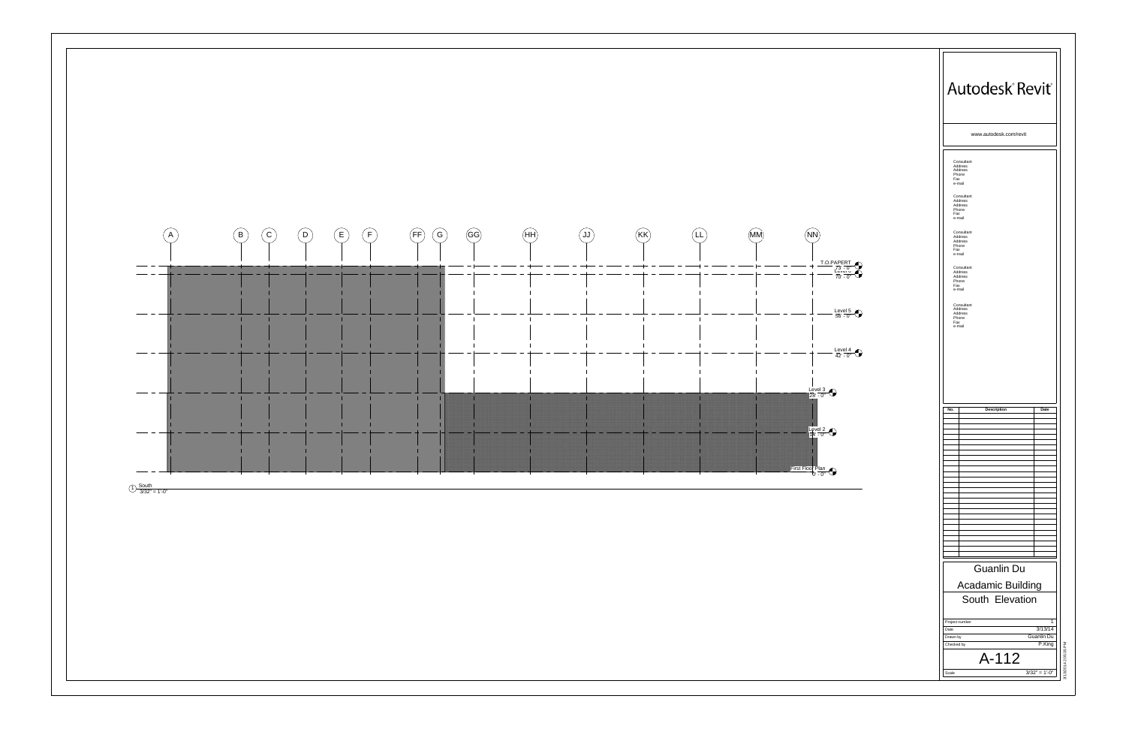